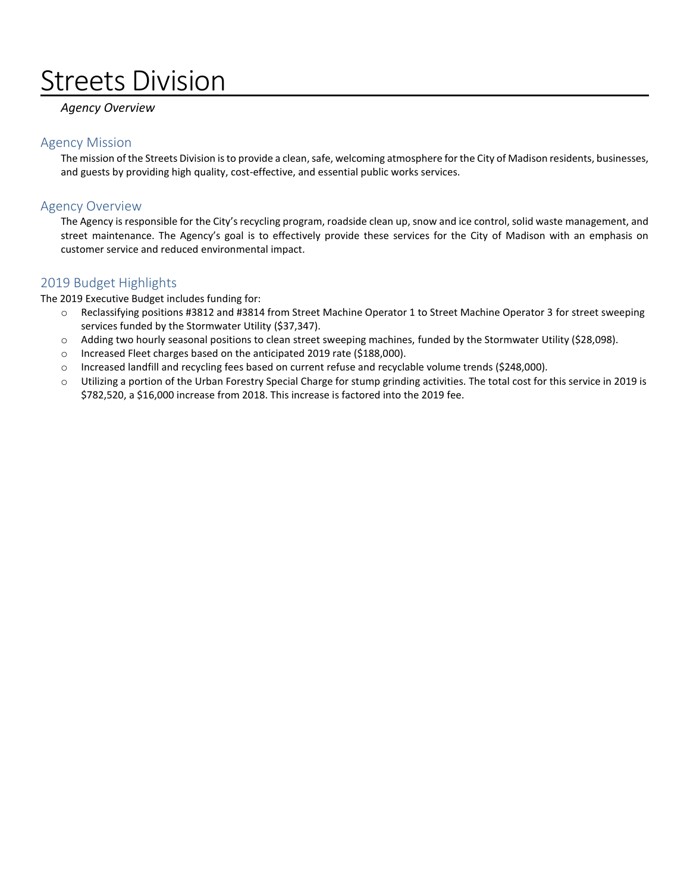# Streets Division

## *Agency Overview*

### Agency Mission

The mission of the Streets Division is to provide a clean, safe, welcoming atmosphere for the City of Madison residents, businesses, and guests by providing high quality, cost-effective, and essential public works services.

## Agency Overview

The Agency is responsible for the City's recycling program, roadside clean up, snow and ice control, solid waste management, and street maintenance. The Agency's goal is to effectively provide these services for the City of Madison with an emphasis on customer service and reduced environmental impact.

## 2019 Budget Highlights

The 2019 Executive Budget includes funding for:

- o Reclassifying positions #3812 and #3814 from Street Machine Operator 1 to Street Machine Operator 3 for street sweeping services funded by the Stormwater Utility (\$37,347).
- o Adding two hourly seasonal positions to clean street sweeping machines, funded by the Stormwater Utility (\$28,098).
- o Increased Fleet charges based on the anticipated 2019 rate (\$188,000).
- o Increased landfill and recycling fees based on current refuse and recyclable volume trends (\$248,000).
- o Utilizing a portion of the Urban Forestry Special Charge for stump grinding activities. The total cost for this service in 2019 is \$782,520, a \$16,000 increase from 2018. This increase is factored into the 2019 fee.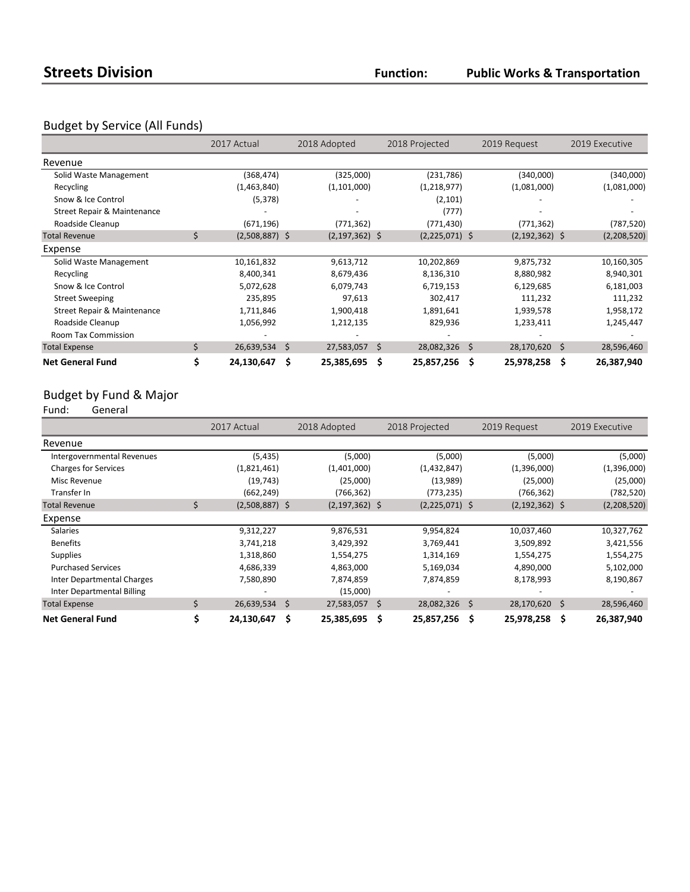**Public Works & Transportation**

## Budget by Service (All Funds)

|                             | 2017 Actual            |    | 2018 Adopted       | 2018 Projected   |     | 2019 Request       |    | 2019 Executive |
|-----------------------------|------------------------|----|--------------------|------------------|-----|--------------------|----|----------------|
| Revenue                     |                        |    |                    |                  |     |                    |    |                |
| Solid Waste Management      | (368, 474)             |    | (325,000)          | (231, 786)       |     | (340,000)          |    | (340,000)      |
| Recycling                   | (1,463,840)            |    | (1, 101, 000)      | (1,218,977)      |     | (1,081,000)        |    | (1,081,000)    |
| Snow & Ice Control          | (5, 378)               |    |                    | (2, 101)         |     |                    |    |                |
| Street Repair & Maintenance |                        |    |                    | (777)            |     |                    |    |                |
| Roadside Cleanup            | (671, 196)             |    | (771, 362)         | (771, 430)       |     | (771, 362)         |    | (787, 520)     |
| <b>Total Revenue</b>        | \$<br>$(2,508,887)$ \$ |    | $(2, 197, 362)$ \$ | $(2,225,071)$ \$ |     | $(2, 192, 362)$ \$ |    | (2,208,520)    |
| Expense                     |                        |    |                    |                  |     |                    |    |                |
| Solid Waste Management      | 10,161,832             |    | 9,613,712          | 10,202,869       |     | 9,875,732          |    | 10,160,305     |
| Recycling                   | 8,400,341              |    | 8,679,436          | 8,136,310        |     | 8,880,982          |    | 8,940,301      |
| Snow & Ice Control          | 5,072,628              |    | 6,079,743          | 6,719,153        |     | 6,129,685          |    | 6,181,003      |
| <b>Street Sweeping</b>      | 235,895                |    | 97,613             | 302,417          |     | 111,232            |    | 111,232        |
| Street Repair & Maintenance | 1,711,846              |    | 1,900,418          | 1,891,641        |     | 1,939,578          |    | 1,958,172      |
| Roadside Cleanup            | 1,056,992              |    | 1,212,135          | 829,936          |     | 1,233,411          |    | 1,245,447      |
| <b>Room Tax Commission</b>  |                        |    |                    |                  |     |                    |    |                |
| <b>Total Expense</b>        | \$<br>26,639,534       | S. | 27,583,057 \$      | 28,082,326       | \$  | 28,170,620         | S. | 28,596,460     |
| <b>Net General Fund</b>     | \$<br>24,130,647       | \$ | 25,385,695 \$      | 25,857,256       | \$. | 25,978,258         | \$ | 26,387,940     |

## Budget by Fund & Major<br>Fund: General

General

|                             |    | 2017 Actual      |   | 2018 Adopted       |   | 2018 Projected   |    | 2019 Request       |     | 2019 Executive |
|-----------------------------|----|------------------|---|--------------------|---|------------------|----|--------------------|-----|----------------|
| Revenue                     |    |                  |   |                    |   |                  |    |                    |     |                |
| Intergovernmental Revenues  |    | (5, 435)         |   | (5,000)            |   | (5,000)          |    | (5,000)            |     | (5,000)        |
| <b>Charges for Services</b> |    | (1,821,461)      |   | (1,401,000)        |   | (1,432,847)      |    | (1,396,000)        |     | (1,396,000)    |
| Misc Revenue                |    | (19, 743)        |   | (25,000)           |   | (13,989)         |    | (25,000)           |     | (25,000)       |
| Transfer In                 |    | (662, 249)       |   | (766,362)          |   | (773, 235)       |    | (766, 362)         |     | (782, 520)     |
| <b>Total Revenue</b>        | S  | $(2,508,887)$ \$ |   | $(2, 197, 362)$ \$ |   | $(2,225,071)$ \$ |    | $(2, 192, 362)$ \$ |     | (2,208,520)    |
| Expense                     |    |                  |   |                    |   |                  |    |                    |     |                |
| <b>Salaries</b>             |    | 9,312,227        |   | 9,876,531          |   | 9,954,824        |    | 10,037,460         |     | 10,327,762     |
| <b>Benefits</b>             |    | 3,741,218        |   | 3,429,392          |   | 3,769,441        |    | 3,509,892          |     | 3,421,556      |
| <b>Supplies</b>             |    | 1,318,860        |   | 1,554,275          |   | 1,314,169        |    | 1,554,275          |     | 1,554,275      |
| <b>Purchased Services</b>   |    | 4,686,339        |   | 4,863,000          |   | 5,169,034        |    | 4,890,000          |     | 5,102,000      |
| Inter Departmental Charges  |    | 7,580,890        |   | 7,874,859          |   | 7,874,859        |    | 8,178,993          |     | 8,190,867      |
| Inter Departmental Billing  |    |                  |   | (15,000)           |   |                  |    |                    |     |                |
| <b>Total Expense</b>        | \$ | 26,639,534 \$    |   | 27,583,057 \$      |   | 28,082,326       | Ŝ. | 28,170,620         | -\$ | 28,596,460     |
| <b>Net General Fund</b>     |    | 24,130,647       | Ś | 25,385,695         | Ŝ | 25,857,256       | \$ | 25,978,258         | \$  | 26,387,940     |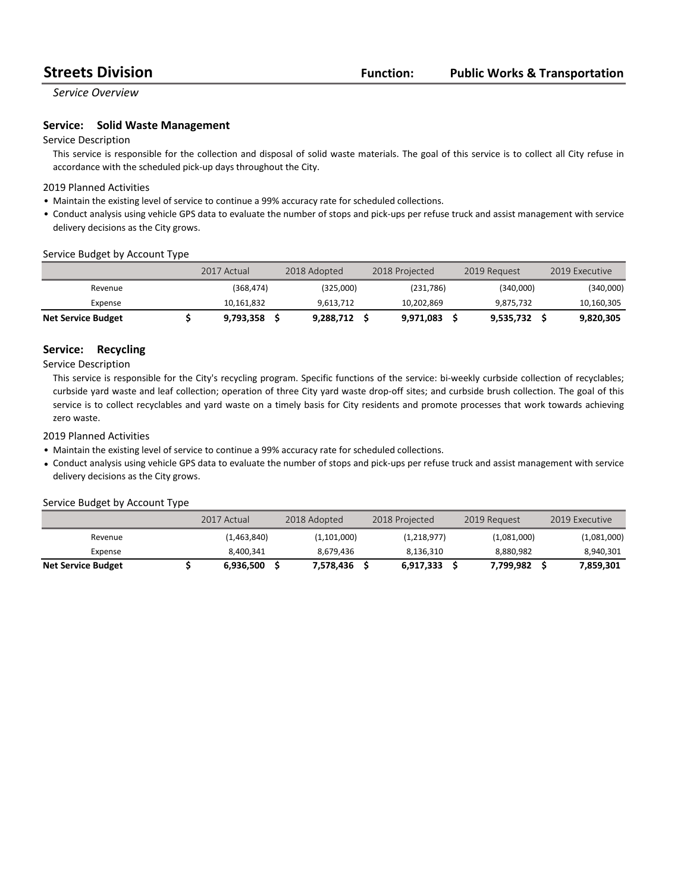*Service Overview*

#### **Service:** Solid Waste Management

#### Service Description

This service is responsible for the collection and disposal of solid waste materials. The goal of this service is to collect all City refuse in accordance with the scheduled pick-up days throughout the City.

#### 2019 Planned Activities

- Maintain the existing level of service to continue a 99% accuracy rate for scheduled collections.
- Conduct analysis using vehicle GPS data to evaluate the number of stops and pick-ups per refuse truck and assist management with service delivery decisions as the City grows.

#### Service Budget by Account Type

|                           | 2017 Actual | 2018 Adopted | 2018 Projected | 2019 Request |           | 2019 Executive |
|---------------------------|-------------|--------------|----------------|--------------|-----------|----------------|
| Revenue                   | (368,474)   | (325,000)    | (231,786)      |              | (340.000) | (340,000)      |
| Expense                   | 10,161,832  | 9.613.712    | 10.202.869     |              | 9.875.732 | 10,160,305     |
| <b>Net Service Budget</b> | 9,793,358   | 9,288,712    | 9,971,083      |              | 9,535,732 | 9,820,305      |

#### **Service: Recycling**

Service Description

This service is responsible for the City's recycling program. Specific functions of the service: bi-weekly curbside collection of recyclables; curbside yard waste and leaf collection; operation of three City yard waste drop-off sites; and curbside brush collection. The goal of this service is to collect recyclables and yard waste on a timely basis for City residents and promote processes that work towards achieving zero waste.

#### 2019 Planned Activities

- Maintain the existing level of service to continue a 99% accuracy rate for scheduled collections.
- Conduct analysis using vehicle GPS data to evaluate the number of stops and pick-ups per refuse truck and assist management with service delivery decisions as the City grows.

#### Service Budget by Account Type

|                           | 2017 Actual | 2018 Adopted | 2018 Projected | 2019 Request | 2019 Executive |
|---------------------------|-------------|--------------|----------------|--------------|----------------|
| Revenue                   | (1,463,840) | (1,101,000)  | (1,218,977)    | (1,081,000)  | (1,081,000)    |
| Expense                   | 8.400.341   | 8.679.436    | 8.136.310      | 8.880.982    | 8,940,301      |
| <b>Net Service Budget</b> | 6,936,500   | 7.578.436    | 6,917,333      | 7.799.982    | 7.859.301      |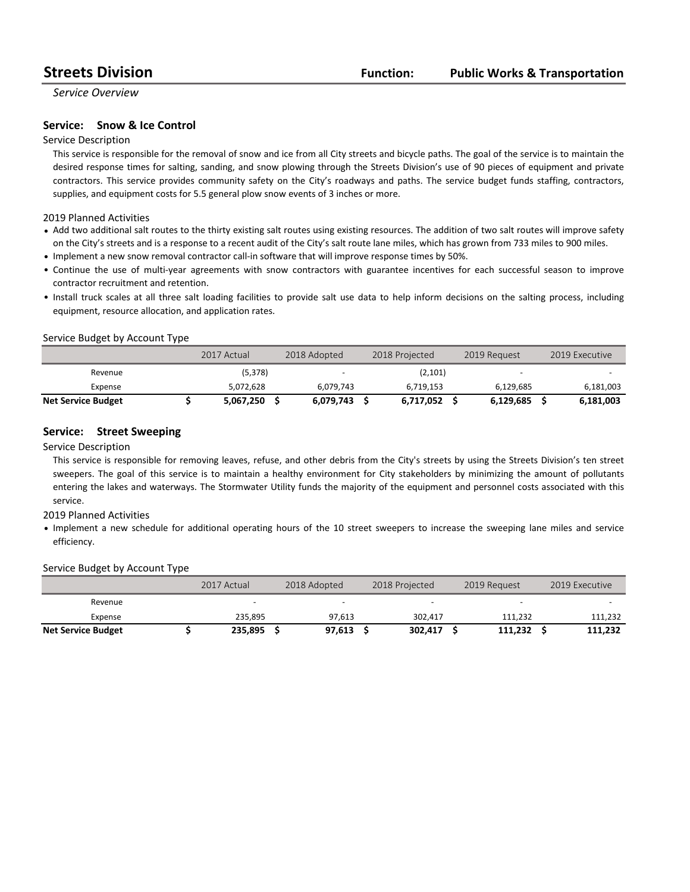*Service Overview*

#### **Service:** Snow & Ice Control

#### Service Description

This service is responsible for the removal of snow and ice from all City streets and bicycle paths. The goal of the service is to maintain the desired response times for salting, sanding, and snow plowing through the Streets Division's use of 90 pieces of equipment and private contractors. This service provides community safety on the City's roadways and paths. The service budget funds staffing, contractors, supplies, and equipment costs for 5.5 general plow snow events of 3 inches or more.

#### 2019 Planned Activities

- Add two additional salt routes to the thirty existing salt routes using existing resources. The addition of two salt routes will improve safety on the City's streets and is a response to a recent audit of the City's salt route lane miles, which has grown from 733 miles to 900 miles.
- Implement a new snow removal contractor call-in software that will improve response times by 50%.
- Continue the use of multi-year agreements with snow contractors with guarantee incentives for each successful season to improve contractor recruitment and retention.
- Install truck scales at all three salt loading facilities to provide salt use data to help inform decisions on the salting process, including equipment, resource allocation, and application rates.

#### Service Budget by Account Type

|                           | 2017 Actual | 2018 Adopted |           | 2018 Projected |           | 2019 Request             | 2019 Executive |
|---------------------------|-------------|--------------|-----------|----------------|-----------|--------------------------|----------------|
| Revenue                   | (5,378)     |              | <b>.</b>  |                | (2,101)   | $\overline{\phantom{0}}$ |                |
| Expense                   | 5.072.628   |              | 6.079.743 |                | 6.719.153 | 6.129.685                | 6,181,003      |
| <b>Net Service Budget</b> | 5,067,250   |              | 6.079.743 |                | 6,717,052 | 6.129.685                | 6,181,003      |

#### **Service:** Street Sweeping

#### Service Description

This service is responsible for removing leaves, refuse, and other debris from the City's streets by using the Streets Division's ten street sweepers. The goal of this service is to maintain a healthy environment for City stakeholders by minimizing the amount of pollutants entering the lakes and waterways. The Stormwater Utility funds the majority of the equipment and personnel costs associated with this service.

#### 2019 Planned Activities

• Implement a new schedule for additional operating hours of the 10 street sweepers to increase the sweeping lane miles and service efficiency.

#### Service Budget by Account Type

|                           | 2017 Actual | 2018 Adopted | 2018 Projected | 2019 Request | 2019 Executive |
|---------------------------|-------------|--------------|----------------|--------------|----------------|
| Revenue                   |             |              |                | -            |                |
| Expense                   | 235.895     | 97.613       | 302,417        | 111.232      | 111,232        |
| <b>Net Service Budget</b> | 235,895     | 97,613       | 302.417        | 111.232      | 111,232        |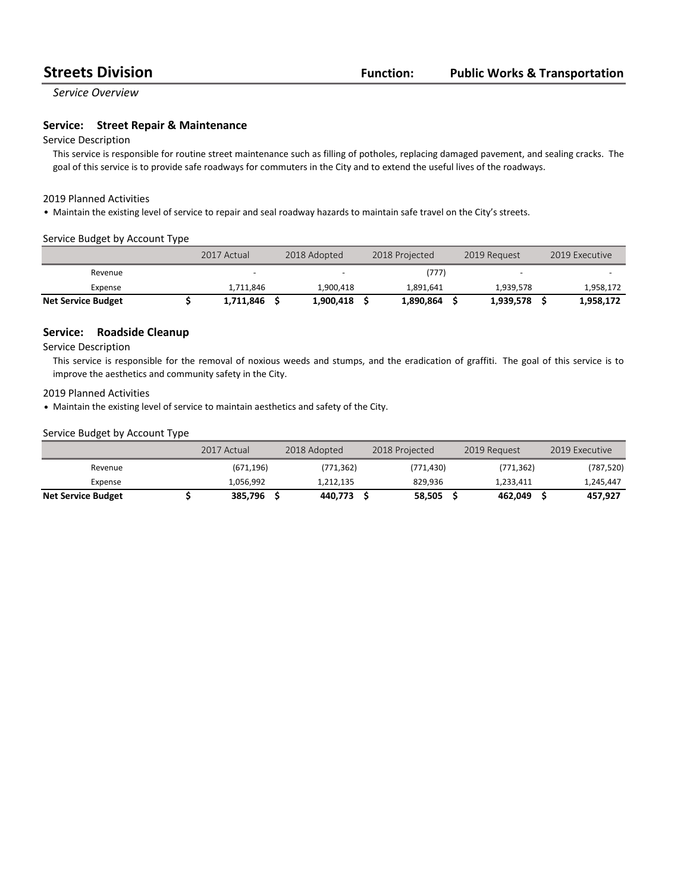*Service Overview*

#### **Service:** Street Repair & Maintenance

#### Service Description

This service is responsible for routine street maintenance such as filling of potholes, replacing damaged pavement, and sealing cracks. The goal of this service is to provide safe roadways for commuters in the City and to extend the useful lives of the roadways.

#### 2019 Planned Activities

• Maintain the existing level of service to repair and seal roadway hazards to maintain safe travel on the City's streets.

#### Service Budget by Account Type

|                           | 2017 Actual | 2018 Adopted | 2018 Projected | 2019 Request             | 2019 Executive |
|---------------------------|-------------|--------------|----------------|--------------------------|----------------|
| Revenue                   |             |              | (777)          | $\overline{\phantom{a}}$ |                |
| Expense                   | 1,711,846   | 1.900.418    | 1.891.641      | 1.939.578                | 1,958,172      |
| <b>Net Service Budget</b> | 1,711,846   | 1.900.418    | 1.890.864      | 1,939,578                | 1,958,172      |

#### **Service:** Roadside Cleanup

#### Service Description

This service is responsible for the removal of noxious weeds and stumps, and the eradication of graffiti. The goal of this service is to improve the aesthetics and community safety in the City.

#### 2019 Planned Activities

• Maintain the existing level of service to maintain aesthetics and safety of the City.

#### Service Budget by Account Type

|                           | 2017 Actual | 2018 Adopted | 2018 Projected | 2019 Request | 2019 Executive |
|---------------------------|-------------|--------------|----------------|--------------|----------------|
| Revenue                   | (671, 196)  | (771, 362)   | (771, 430)     | (771, 362)   | (787, 520)     |
| Expense                   | 1.056.992   | 1,212,135    | 829.936        | 1.233.411    | 1,245,447      |
| <b>Net Service Budget</b> | 385.796     | 440.773      | 58,505         | 462.049      | 457.927        |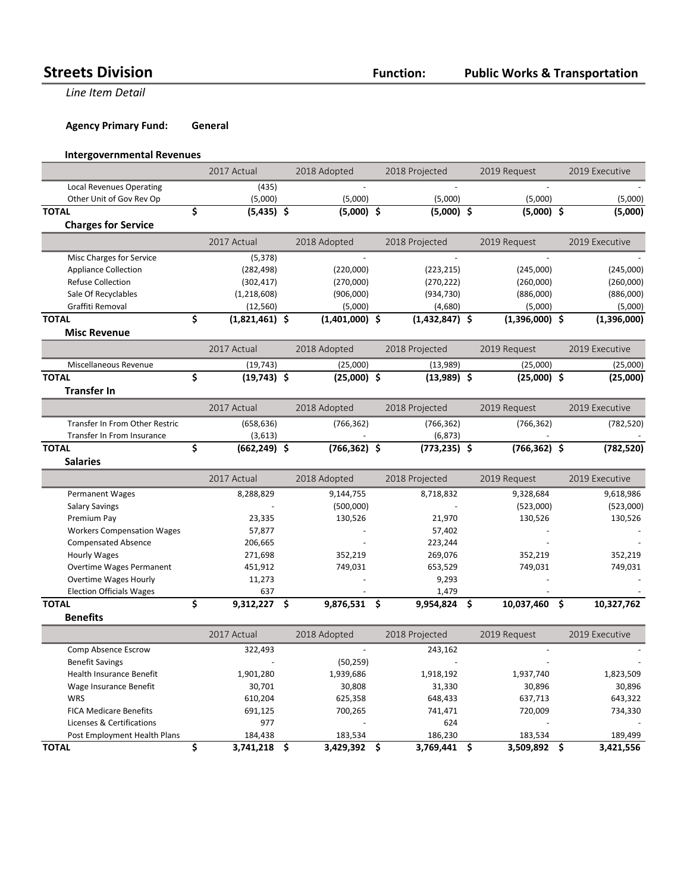**Line Item Detail** 

**Agency Primary Fund: General** 

### **Intergovernmental Revenues**

|                                   | 2017 Actual            | 2018 Adopted     |     | 2018 Projected   | 2019 Request     | 2019 Executive   |
|-----------------------------------|------------------------|------------------|-----|------------------|------------------|------------------|
| <b>Local Revenues Operating</b>   | (435)                  |                  |     |                  |                  |                  |
| Other Unit of Gov Rev Op          | (5,000)                | (5,000)          |     | (5,000)          | (5,000)          | (5,000)          |
| <b>TOTAL</b>                      | \$<br>$(5,435)$ \$     | $(5,000)$ \$     |     | $(5,000)$ \$     | $(5,000)$ \$     | (5,000)          |
| <b>Charges for Service</b>        |                        |                  |     |                  |                  |                  |
|                                   | 2017 Actual            | 2018 Adopted     |     | 2018 Projected   | 2019 Request     | 2019 Executive   |
| Misc Charges for Service          | (5, 378)               |                  |     |                  |                  |                  |
| <b>Appliance Collection</b>       | (282, 498)             | (220,000)        |     | (223, 215)       | (245,000)        | (245,000)        |
| <b>Refuse Collection</b>          | (302, 417)             | (270,000)        |     | (270, 222)       | (260,000)        | (260,000)        |
| Sale Of Recyclables               | (1,218,608)            | (906,000)        |     | (934, 730)       | (886,000)        | (886,000)        |
| Graffiti Removal                  | (12, 560)              | (5,000)          |     | (4,680)          | (5,000)          | (5,000)          |
| <b>TOTAL</b>                      | \$<br>$(1,821,461)$ \$ | $(1,401,000)$ \$ |     | $(1,432,847)$ \$ | $(1,396,000)$ \$ | (1,396,000)      |
| <b>Misc Revenue</b>               |                        |                  |     |                  |                  |                  |
|                                   | 2017 Actual            | 2018 Adopted     |     | 2018 Projected   | 2019 Request     | 2019 Executive   |
| Miscellaneous Revenue             | (19, 743)              | (25,000)         |     | (13,989)         | (25,000)         | (25,000)         |
| <b>TOTAL</b>                      | \$<br>$(19,743)$ \$    | $(25,000)$ \$    |     | $(13,989)$ \$    | $(25,000)$ \$    | (25,000)         |
| <b>Transfer In</b>                |                        |                  |     |                  |                  |                  |
|                                   | 2017 Actual            | 2018 Adopted     |     | 2018 Projected   | 2019 Request     | 2019 Executive   |
| Transfer In From Other Restric    | (658, 636)             | (766, 362)       |     | (766, 362)       | (766, 362)       | (782, 520)       |
| Transfer In From Insurance        | (3,613)                |                  |     | (6, 873)         |                  |                  |
| <b>TOTAL</b>                      | \$<br>$(662, 249)$ \$  | $(766, 362)$ \$  |     | $(773, 235)$ \$  | $(766, 362)$ \$  | (782, 520)       |
| <b>Salaries</b>                   |                        |                  |     |                  |                  |                  |
|                                   | 2017 Actual            | 2018 Adopted     |     | 2018 Projected   | 2019 Request     | 2019 Executive   |
| <b>Permanent Wages</b>            | 8,288,829              | 9,144,755        |     | 8,718,832        | 9,328,684        | 9,618,986        |
| <b>Salary Savings</b>             |                        | (500,000)        |     |                  | (523,000)        | (523,000)        |
| Premium Pay                       | 23,335                 | 130,526          |     | 21,970           | 130,526          | 130,526          |
| <b>Workers Compensation Wages</b> | 57,877                 |                  |     | 57,402           |                  |                  |
| <b>Compensated Absence</b>        | 206,665                |                  |     | 223,244          |                  |                  |
| <b>Hourly Wages</b>               | 271,698                | 352,219          |     | 269,076          | 352,219          | 352,219          |
| <b>Overtime Wages Permanent</b>   | 451,912                | 749,031          |     | 653,529          | 749,031          | 749,031          |
| <b>Overtime Wages Hourly</b>      | 11,273                 |                  |     | 9,293            |                  |                  |
| <b>Election Officials Wages</b>   | 637                    |                  |     | 1,479            |                  |                  |
| <b>TOTAL</b>                      | \$<br>9,312,227        | \$<br>9,876,531  | -\$ | 9,954,824        | \$<br>10,037,460 | \$<br>10,327,762 |
| <b>Benefits</b>                   |                        |                  |     |                  |                  |                  |
|                                   | 2017 Actual            | 2018 Adopted     |     | 2018 Projected   | 2019 Request     | 2019 Executive   |
| Comp Absence Escrow               | 322,493                |                  |     | 243,162          |                  |                  |
| <b>Benefit Savings</b>            |                        | (50, 259)        |     |                  |                  |                  |
| Health Insurance Benefit          | 1,901,280              | 1,939,686        |     | 1,918,192        | 1,937,740        | 1,823,509        |
| Wage Insurance Benefit            | 30,701                 | 30,808           |     | 31,330           | 30,896           | 30,896           |
| <b>WRS</b>                        | 610,204                | 625,358          |     | 648,433          | 637,713          | 643,322          |
| <b>FICA Medicare Benefits</b>     | 691,125                | 700,265          |     | 741,471          | 720,009          | 734,330          |
| Licenses & Certifications         | 977                    |                  |     | 624              |                  |                  |
| Post Employment Health Plans      | 184,438                | 183,534          |     | 186,230          | 183,534          | 189,499          |
| <b>TOTAL</b>                      | \$<br>3,741,218        | \$<br>3,429,392  | \$  | 3,769,441        | \$<br>3,509,892  | \$<br>3,421,556  |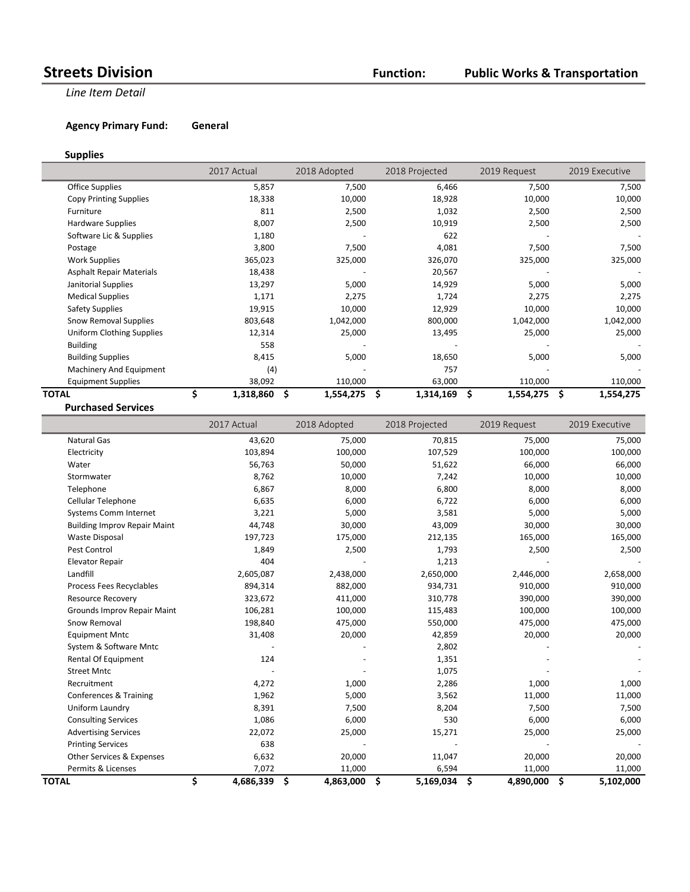## **Public Works & Transportation**

**Line Item Detail** 

**Agency Primary Fund: General** 

### **Supplies**

|                                  | 2017 Actual     | 2018 Adopted    | 2018 Projected | 2019 Request    | 2019 Executive  |
|----------------------------------|-----------------|-----------------|----------------|-----------------|-----------------|
| <b>Office Supplies</b>           | 5,857           | 7,500           | 6,466          | 7,500           | 7,500           |
| <b>Copy Printing Supplies</b>    | 18,338          | 10,000          | 18,928         | 10,000          | 10,000          |
| Furniture                        | 811             | 2,500           | 1,032          | 2,500           | 2,500           |
| Hardware Supplies                | 8,007           | 2,500           | 10,919         | 2,500           | 2,500           |
| Software Lic & Supplies          | 1,180           |                 | 622            |                 |                 |
| Postage                          | 3,800           | 7,500           | 4,081          | 7,500           | 7,500           |
| <b>Work Supplies</b>             | 365,023         | 325,000         | 326,070        | 325,000         | 325,000         |
| <b>Asphalt Repair Materials</b>  | 18,438          |                 | 20,567         |                 |                 |
| Janitorial Supplies              | 13,297          | 5,000           | 14,929         | 5,000           | 5,000           |
| <b>Medical Supplies</b>          | 1,171           | 2,275           | 1,724          | 2,275           | 2,275           |
| <b>Safety Supplies</b>           | 19,915          | 10,000          | 12,929         | 10,000          | 10,000          |
| Snow Removal Supplies            | 803,648         | 1,042,000       | 800,000        | 1,042,000       | 1,042,000       |
| <b>Uniform Clothing Supplies</b> | 12,314          | 25,000          | 13,495         | 25,000          | 25,000          |
| <b>Building</b>                  | 558             |                 |                |                 |                 |
| <b>Building Supplies</b>         | 8,415           | 5,000           | 18,650         | 5,000           | 5,000           |
| Machinery And Equipment          | (4)             |                 | 757            |                 |                 |
| <b>Equipment Supplies</b>        | 38,092          | 110,000         | 63,000         | 110,000         | 110,000         |
| TOTAL                            | \$<br>1,318,860 | \$<br>1,554,275 | Ś<br>1,314,169 | \$<br>1,554,275 | \$<br>1,554,275 |
| <b>Purchased Services</b>        |                 |                 |                |                 |                 |

|                                     | 2017 Actual     | 2018 Adopted    | 2018 Projected  | 2019 Request    | 2019 Executive  |
|-------------------------------------|-----------------|-----------------|-----------------|-----------------|-----------------|
| <b>Natural Gas</b>                  | 43,620          | 75,000          | 70,815          | 75,000          | 75,000          |
| Electricity                         | 103,894         | 100,000         | 107,529         | 100,000         | 100,000         |
| Water                               | 56,763          | 50,000          | 51,622          | 66,000          | 66,000          |
| Stormwater                          | 8,762           | 10,000          | 7,242           | 10,000          | 10,000          |
| Telephone                           | 6,867           | 8,000           | 6,800           | 8,000           | 8,000           |
| Cellular Telephone                  | 6,635           | 6,000           | 6,722           | 6,000           | 6,000           |
| <b>Systems Comm Internet</b>        | 3,221           | 5,000           | 3,581           | 5,000           | 5,000           |
| <b>Building Improv Repair Maint</b> | 44,748          | 30,000          | 43,009          | 30,000          | 30,000          |
| <b>Waste Disposal</b>               | 197,723         | 175,000         | 212,135         | 165,000         | 165,000         |
| Pest Control                        | 1,849           | 2,500           | 1,793           | 2,500           | 2,500           |
| <b>Elevator Repair</b>              | 404             |                 | 1,213           |                 |                 |
| Landfill                            | 2,605,087       | 2,438,000       | 2,650,000       | 2,446,000       | 2,658,000       |
| Process Fees Recyclables            | 894,314         | 882,000         | 934,731         | 910,000         | 910,000         |
| <b>Resource Recovery</b>            | 323,672         | 411,000         | 310,778         | 390,000         | 390,000         |
| Grounds Improv Repair Maint         | 106,281         | 100,000         | 115,483         | 100,000         | 100,000         |
| Snow Removal                        | 198,840         | 475,000         | 550,000         | 475,000         | 475,000         |
| <b>Equipment Mntc</b>               | 31,408          | 20,000          | 42,859          | 20,000          | 20,000          |
| System & Software Mntc              |                 |                 | 2,802           |                 |                 |
| Rental Of Equipment                 | 124             |                 | 1,351           |                 |                 |
| <b>Street Mntc</b>                  |                 |                 | 1,075           |                 |                 |
| Recruitment                         | 4,272           | 1,000           | 2,286           | 1,000           | 1,000           |
| Conferences & Training              | 1,962           | 5,000           | 3,562           | 11,000          | 11,000          |
| Uniform Laundry                     | 8,391           | 7,500           | 8,204           | 7,500           | 7,500           |
| <b>Consulting Services</b>          | 1,086           | 6,000           | 530             | 6,000           | 6,000           |
| <b>Advertising Services</b>         | 22,072          | 25,000          | 15,271          | 25,000          | 25,000          |
| <b>Printing Services</b>            | 638             |                 |                 |                 |                 |
| Other Services & Expenses           | 6,632           | 20,000          | 11,047          | 20,000          | 20,000          |
| Permits & Licenses                  | 7,072           | 11,000          | 6,594           | 11,000          | 11,000          |
| <b>TOTAL</b>                        | \$<br>4,686,339 | \$<br>4,863,000 | \$<br>5,169,034 | \$<br>4,890,000 | \$<br>5,102,000 |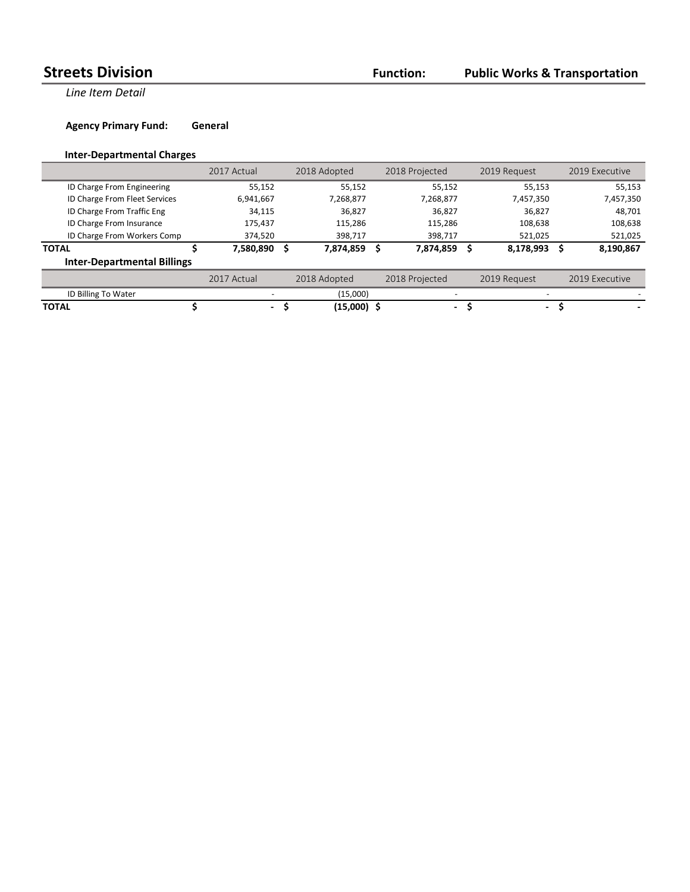**Line Item Detail** 

**Agency Primary Fund: General** 

## **Inter-Departmental Charges**

|                                    | 2017 Actual |    | 2018 Adopted | 2018 Projected           | 2019 Request | 2019 Executive |
|------------------------------------|-------------|----|--------------|--------------------------|--------------|----------------|
| ID Charge From Engineering         | 55,152      |    | 55,152       | 55,152                   | 55,153       | 55,153         |
| ID Charge From Fleet Services      | 6,941,667   |    | 7,268,877    | 7,268,877                | 7,457,350    | 7,457,350      |
| ID Charge From Traffic Eng         | 34,115      |    | 36,827       | 36,827                   | 36,827       | 48,701         |
| ID Charge From Insurance           | 175,437     |    | 115,286      | 115,286                  | 108,638      | 108,638        |
| ID Charge From Workers Comp        | 374,520     |    | 398,717      | 398,717                  | 521,025      | 521,025        |
| <b>TOTAL</b>                       | 7,580,890   | -S | 7,874,859    | 7,874,859                | 8,178,993    | 8,190,867      |
| <b>Inter-Departmental Billings</b> |             |    |              |                          |              |                |
|                                    | 2017 Actual |    | 2018 Adopted | 2018 Projected           | 2019 Request | 2019 Executive |
| ID Billing To Water                |             |    | (15,000)     |                          |              |                |
| <b>TOTAL</b>                       | $\sim$      |    | (15,000) \$  | $\overline{\phantom{a}}$ | $\sim$       |                |